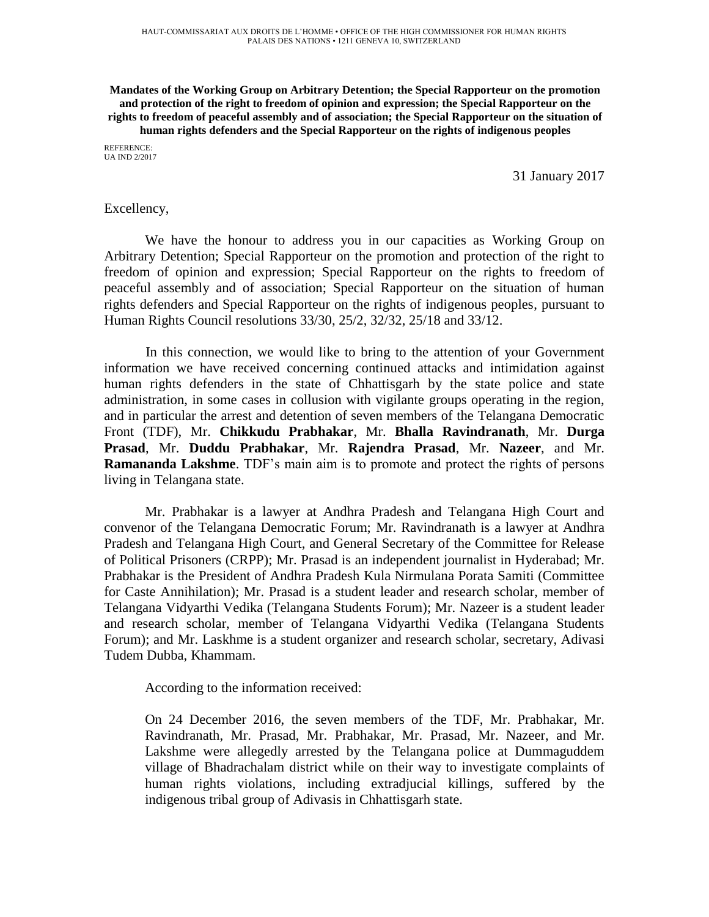**Mandates of the Working Group on Arbitrary Detention; the Special Rapporteur on the promotion and protection of the right to freedom of opinion and expression; the Special Rapporteur on the rights to freedom of peaceful assembly and of association; the Special Rapporteur on the situation of human rights defenders and the Special Rapporteur on the rights of indigenous peoples** REFERENCE:

UA IND 2/2017

31 January 2017

## Excellency,

We have the honour to address you in our capacities as Working Group on Arbitrary Detention; Special Rapporteur on the promotion and protection of the right to freedom of opinion and expression; Special Rapporteur on the rights to freedom of peaceful assembly and of association; Special Rapporteur on the situation of human rights defenders and Special Rapporteur on the rights of indigenous peoples, pursuant to Human Rights Council resolutions 33/30, 25/2, 32/32, 25/18 and 33/12.

In this connection, we would like to bring to the attention of your Government information we have received concerning continued attacks and intimidation against human rights defenders in the state of Chhattisgarh by the state police and state administration, in some cases in collusion with vigilante groups operating in the region, and in particular the arrest and detention of seven members of the Telangana Democratic Front (TDF), Mr. **Chikkudu Prabhakar**, Mr. **Bhalla Ravindranath**, Mr. **Durga Prasad**, Mr. **Duddu Prabhakar**, Mr. **Rajendra Prasad**, Mr. **Nazeer**, and Mr. **Ramananda Lakshme**. TDF's main aim is to promote and protect the rights of persons living in Telangana state.

Mr. Prabhakar is a lawyer at Andhra Pradesh and Telangana High Court and convenor of the Telangana Democratic Forum; Mr. Ravindranath is a lawyer at Andhra Pradesh and Telangana High Court, and General Secretary of the Committee for Release of Political Prisoners (CRPP); Mr. Prasad is an independent journalist in Hyderabad; Mr. Prabhakar is the President of Andhra Pradesh Kula Nirmulana Porata Samiti (Committee for Caste Annihilation); Mr. Prasad is a student leader and research scholar, member of Telangana Vidyarthi Vedika (Telangana Students Forum); Mr. Nazeer is a student leader and research scholar, member of Telangana Vidyarthi Vedika (Telangana Students Forum); and Mr. Laskhme is a student organizer and research scholar, secretary, Adivasi Tudem Dubba, Khammam.

According to the information received:

On 24 December 2016, the seven members of the TDF, Mr. Prabhakar, Mr. Ravindranath, Mr. Prasad, Mr. Prabhakar, Mr. Prasad, Mr. Nazeer, and Mr. Lakshme were allegedly arrested by the Telangana police at Dummaguddem village of Bhadrachalam district while on their way to investigate complaints of human rights violations, including extradjucial killings, suffered by the indigenous tribal group of Adivasis in Chhattisgarh state.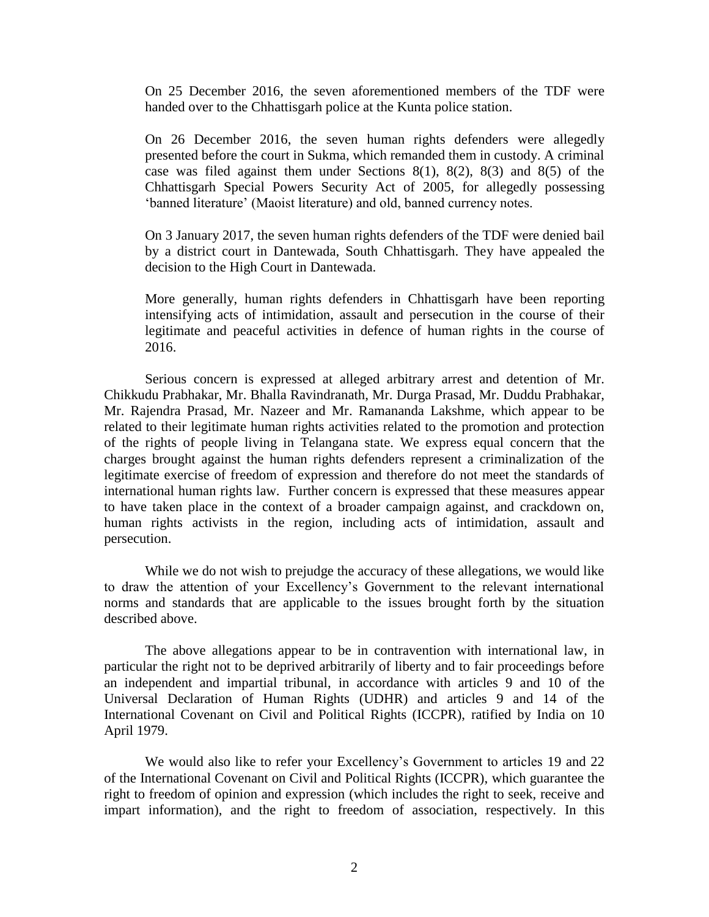On 25 December 2016, the seven aforementioned members of the TDF were handed over to the Chhattisgarh police at the Kunta police station.

On 26 December 2016, the seven human rights defenders were allegedly presented before the court in Sukma, which remanded them in custody. A criminal case was filed against them under Sections  $8(1)$ ,  $8(2)$ ,  $8(3)$  and  $8(5)$  of the Chhattisgarh Special Powers Security Act of 2005, for allegedly possessing 'banned literature' (Maoist literature) and old, banned currency notes.

On 3 January 2017, the seven human rights defenders of the TDF were denied bail by a district court in Dantewada, South Chhattisgarh. They have appealed the decision to the High Court in Dantewada.

More generally, human rights defenders in Chhattisgarh have been reporting intensifying acts of intimidation, assault and persecution in the course of their legitimate and peaceful activities in defence of human rights in the course of 2016.

Serious concern is expressed at alleged arbitrary arrest and detention of Mr. Chikkudu Prabhakar, Mr. Bhalla Ravindranath, Mr. Durga Prasad, Mr. Duddu Prabhakar, Mr. Rajendra Prasad, Mr. Nazeer and Mr. Ramananda Lakshme, which appear to be related to their legitimate human rights activities related to the promotion and protection of the rights of people living in Telangana state. We express equal concern that the charges brought against the human rights defenders represent a criminalization of the legitimate exercise of freedom of expression and therefore do not meet the standards of international human rights law. Further concern is expressed that these measures appear to have taken place in the context of a broader campaign against, and crackdown on, human rights activists in the region, including acts of intimidation, assault and persecution.

While we do not wish to prejudge the accuracy of these allegations, we would like to draw the attention of your Excellency's Government to the relevant international norms and standards that are applicable to the issues brought forth by the situation described above.

The above allegations appear to be in contravention with international law, in particular the right not to be deprived arbitrarily of liberty and to fair proceedings before an independent and impartial tribunal, in accordance with articles 9 and 10 of the Universal Declaration of Human Rights (UDHR) and articles 9 and 14 of the International Covenant on Civil and Political Rights (ICCPR), ratified by India on 10 April 1979.

We would also like to refer your Excellency's Government to articles 19 and 22 of the International Covenant on Civil and Political Rights (ICCPR), which guarantee the right to freedom of opinion and expression (which includes the right to seek, receive and impart information), and the right to freedom of association, respectively. In this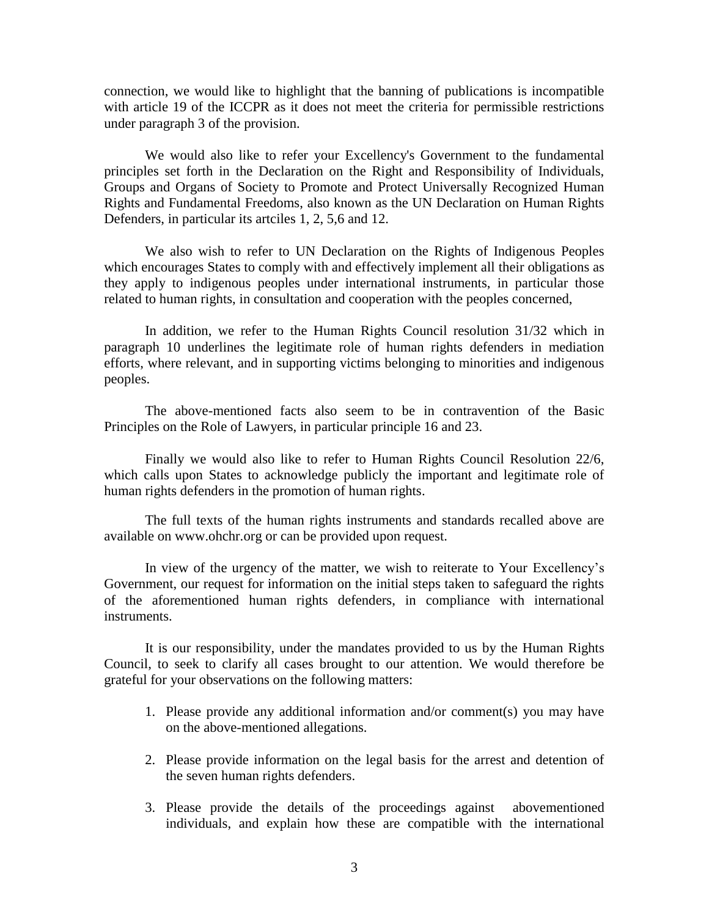connection, we would like to highlight that the banning of publications is incompatible with article 19 of the ICCPR as it does not meet the criteria for permissible restrictions under paragraph 3 of the provision.

We would also like to refer your Excellency's Government to the fundamental principles set forth in the Declaration on the Right and Responsibility of Individuals, Groups and Organs of Society to Promote and Protect Universally Recognized Human Rights and Fundamental Freedoms, also known as the UN Declaration on Human Rights Defenders, in particular its artciles 1, 2, 5,6 and 12.

We also wish to refer to UN Declaration on the Rights of Indigenous Peoples which encourages States to comply with and effectively implement all their obligations as they apply to indigenous peoples under international instruments, in particular those related to human rights, in consultation and cooperation with the peoples concerned,

In addition, we refer to the Human Rights Council resolution 31/32 which in paragraph 10 underlines the legitimate role of human rights defenders in mediation efforts, where relevant, and in supporting victims belonging to minorities and indigenous peoples.

The above-mentioned facts also seem to be in contravention of the Basic Principles on the Role of Lawyers, in particular principle 16 and 23.

Finally we would also like to refer to Human Rights Council Resolution 22/6, which calls upon States to acknowledge publicly the important and legitimate role of human rights defenders in the promotion of human rights.

The full texts of the human rights instruments and standards recalled above are available on www.ohchr.org or can be provided upon request.

In view of the urgency of the matter, we wish to reiterate to Your Excellency's Government, our request for information on the initial steps taken to safeguard the rights of the aforementioned human rights defenders, in compliance with international instruments.

It is our responsibility, under the mandates provided to us by the Human Rights Council, to seek to clarify all cases brought to our attention. We would therefore be grateful for your observations on the following matters:

- 1. Please provide any additional information and/or comment(s) you may have on the above-mentioned allegations.
- 2. Please provide information on the legal basis for the arrest and detention of the seven human rights defenders.
- 3. Please provide the details of the proceedings against abovementioned individuals, and explain how these are compatible with the international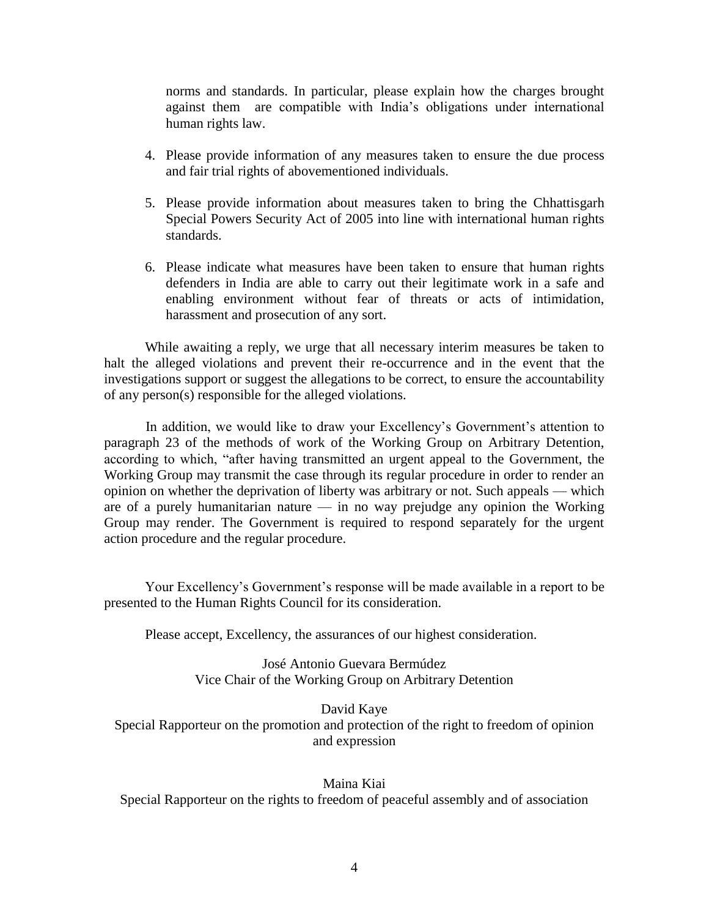norms and standards. In particular, please explain how the charges brought against them are compatible with India's obligations under international human rights law.

- 4. Please provide information of any measures taken to ensure the due process and fair trial rights of abovementioned individuals.
- 5. Please provide information about measures taken to bring the Chhattisgarh Special Powers Security Act of 2005 into line with international human rights standards.
- 6. Please indicate what measures have been taken to ensure that human rights defenders in India are able to carry out their legitimate work in a safe and enabling environment without fear of threats or acts of intimidation, harassment and prosecution of any sort.

While awaiting a reply, we urge that all necessary interim measures be taken to halt the alleged violations and prevent their re-occurrence and in the event that the investigations support or suggest the allegations to be correct, to ensure the accountability of any person(s) responsible for the alleged violations.

In addition, we would like to draw your Excellency's Government's attention to paragraph 23 of the methods of work of the Working Group on Arbitrary Detention, according to which, "after having transmitted an urgent appeal to the Government, the Working Group may transmit the case through its regular procedure in order to render an opinion on whether the deprivation of liberty was arbitrary or not. Such appeals — which are of a purely humanitarian nature — in no way prejudge any opinion the Working Group may render. The Government is required to respond separately for the urgent action procedure and the regular procedure.

Your Excellency's Government's response will be made available in a report to be presented to the Human Rights Council for its consideration.

Please accept, Excellency, the assurances of our highest consideration.

José Antonio Guevara Bermúdez Vice Chair of the Working Group on Arbitrary Detention

David Kaye Special Rapporteur on the promotion and protection of the right to freedom of opinion and expression

Maina Kiai Special Rapporteur on the rights to freedom of peaceful assembly and of association